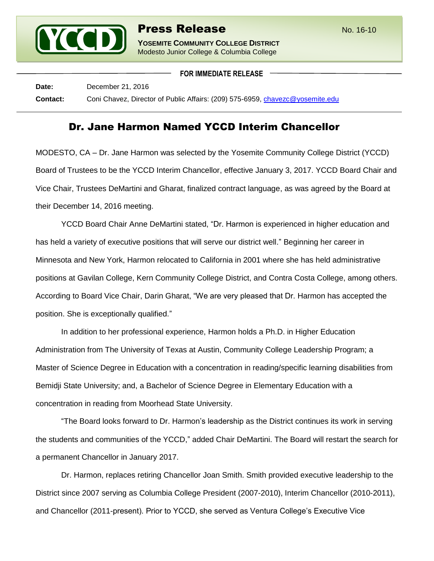

**FOR IMMEDIATE RELEASE**

**Date:** December 21, 2016 **Contact:** Coni Chavez, Director of Public Affairs: (209) 575-6959, [chavezc@yosemite.edu](mailto:chavezc@yosemite.edu)

## Dr. Jane Harmon Named YCCD Interim Chancellor

MODESTO, CA – Dr. Jane Harmon was selected by the Yosemite Community College District (YCCD) Board of Trustees to be the YCCD Interim Chancellor, effective January 3, 2017. YCCD Board Chair and Vice Chair, Trustees DeMartini and Gharat, finalized contract language, as was agreed by the Board at their December 14, 2016 meeting.

YCCD Board Chair Anne DeMartini stated, "Dr. Harmon is experienced in higher education and has held a variety of executive positions that will serve our district well." Beginning her career in Minnesota and New York, Harmon relocated to California in 2001 where she has held administrative positions at Gavilan College, Kern Community College District, and Contra Costa College, among others. According to Board Vice Chair, Darin Gharat, "We are very pleased that Dr. Harmon has accepted the position. She is exceptionally qualified."

In addition to her professional experience, Harmon holds a Ph.D. in Higher Education Administration from The University of Texas at Austin, Community College Leadership Program; a Master of Science Degree in Education with a concentration in reading/specific learning disabilities from Bemidji State University; and, a Bachelor of Science Degree in Elementary Education with a concentration in reading from Moorhead State University.

"The Board looks forward to Dr. Harmon's leadership as the District continues its work in serving the students and communities of the YCCD," added Chair DeMartini. The Board will restart the search for a permanent Chancellor in January 2017.

Dr. Harmon, replaces retiring Chancellor Joan Smith. Smith provided executive leadership to the District since 2007 serving as Columbia College President (2007-2010), Interim Chancellor (2010-2011), and Chancellor (2011-present). Prior to YCCD, she served as Ventura College's Executive Vice